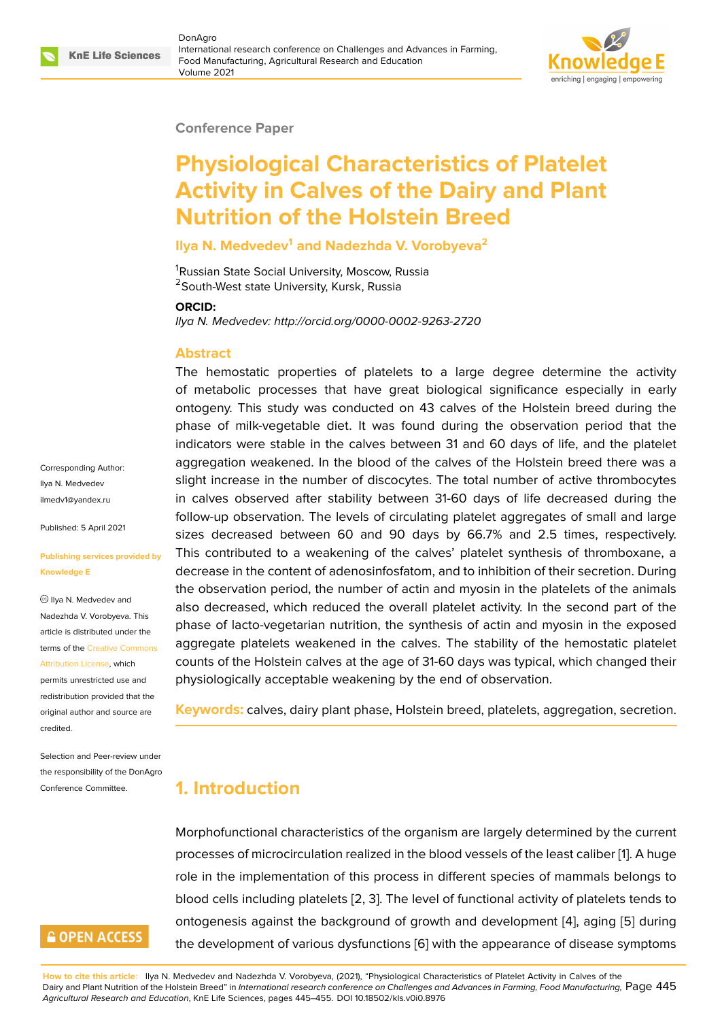#### **Conference Paper**

# **Physiological Characteristics of Platelet Activity in Calves of the Dairy and Plant Nutrition of the Holstein Breed**

**Ilya N. Medvedev<sup>1</sup> and Nadezhda V. Vorobyeva<sup>2</sup>**

<sup>1</sup>Russian State Social University, Moscow, Russia <sup>2</sup> South-West state University, Kursk, Russia

#### **ORCID:**

*Ilya N. Medvedev: http://orcid.org/0000-0002-9263-2720*

#### **Abstract**

The hemostatic properties of platelets to a large degree determine the activity of metabolic processes that have great biological significance especially in early ontogeny. This study was conducted on 43 calves of the Holstein breed during the phase of milk-vegetable diet. It was found during the observation period that the indicators were stable in the calves between 31 and 60 days of life, and the platelet aggregation weakened. In the blood of the calves of the Holstein breed there was a slight increase in the number of discocytes. The total number of active thrombocytes in calves observed after stability between 31-60 days of life decreased during the follow-up observation. The levels of circulating platelet aggregates of small and large sizes decreased between 60 and 90 days by 66.7% and 2.5 times, respectively. This contributed to a weakening of the calves' platelet synthesis of thromboxane, a decrease in the content of adenosinfosfatom, and to inhibition of their secretion. During the observation period, the number of actin and myosin in the platelets of the animals also decreased, which reduced the overall platelet activity. In the second part of the phase of lacto-vegetarian nutrition, the synthesis of actin and myosin in the exposed aggregate platelets weakened in the calves. The stability of the hemostatic platelet counts of the Holstein calves at the age of 31-60 days was typical, which changed their physiologically acceptable weakening by the end of observation.

**Keywords:** calves, dairy plant phase, Holstein breed, platelets, aggregation, secretion.

# **1. Introduction**

Morphofunctional characteristics of the organism are largely determined by the current processes of microcirculation realized in the blood vessels of the least caliber [1]. A huge role in the implementation of this process in different species of mammals belongs to blood cells including platelets [2, 3]. The level of functional activity of platelets tends to ontogenesis against the background of growth and development [4], aging [\[5](#page-7-0)] during the development of various dysfunctions [6] with the appearance of disease symptoms

Corresponding Author: Ilya N. Medvedev ilmedv1@yandex.ru

Published: 5 April 2021

#### **[Publishing services](mailto:ilmedv1@yandex.ru) provided by Knowledge E**

 $\circledcirc$  llya N. Medvedev and Nadezhda V. Vorobyeva. This article is distributed under the terms of the Creative Commons Attribution License, which

permits unrestricted use and redistribution provided that the original auth[or and source are](https://creativecommons.org/licenses/by/4.0/) [credited.](https://creativecommons.org/licenses/by/4.0/)

Selection and Peer-review under the responsibility of the DonAgro Conference Committee.

# **GOPEN ACCESS**

**How to cite this article**: Ilya N. Medvedev and Nadezhda V. Vorobyeva, (2021), "Physiological Characteristics of Platelet Activity in Calves of the Dairy and Plant Nutrition of the Holstein Breed" in *International research conference on Challenges and Advances in Farming, Food [Ma](#page-8-0)nufacturing,* [P](#page-8-1)age 445 *Agricultural Research and Education*, KnE Life Sciences, pages 445–455. DOI 10.18502/kls.v0i[0.8](#page-8-2)976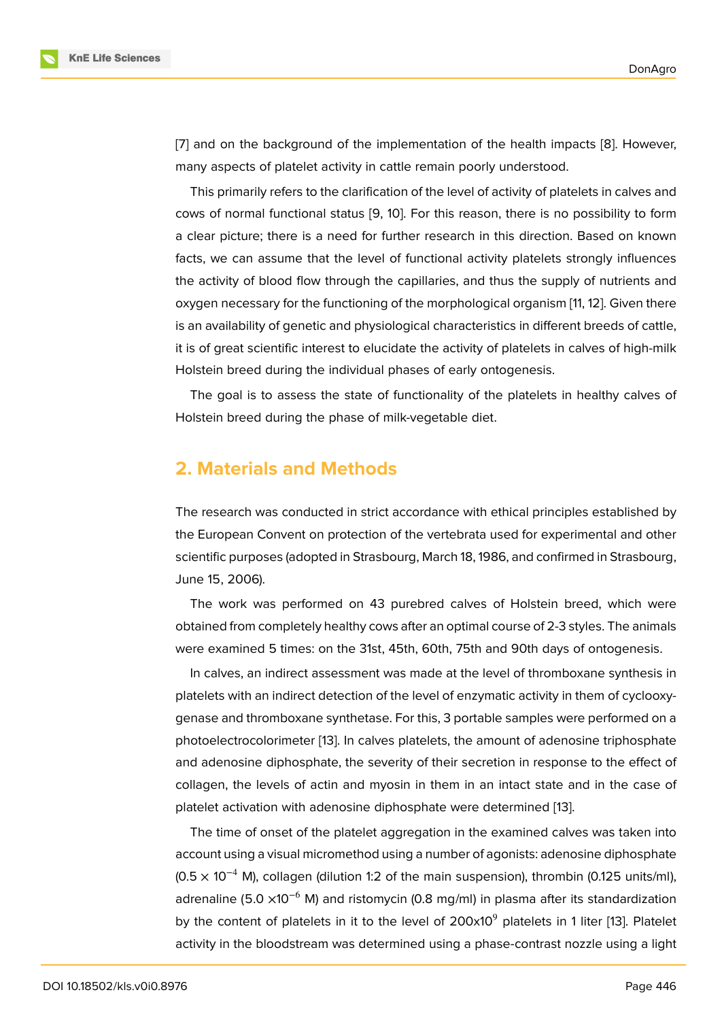[7] and on the background of the implementation of the health impacts [8]. However, many aspects of platelet activity in cattle remain poorly understood.

This primarily refers to the clarification of the level of activity of platelets in calves and [co](#page-8-3)ws of normal functional status [9, 10]. For this reason, there is no possi[bi](#page-8-4)lity to form a clear picture; there is a need for further research in this direction. Based on known facts, we can assume that the level of functional activity platelets strongly influences the activity of blood flow through [th](#page-8-5)[e c](#page-8-6)apillaries, and thus the supply of nutrients and oxygen necessary for the functioning of the morphological organism [11, 12]. Given there is an availability of genetic and physiological characteristics in different breeds of cattle, it is of great scientific interest to elucidate the activity of platelets in calves of high-milk Holstein breed during the individual phases of early ontogenesis.

The goal is to assess the state of functionality of the platelets in healthy calves of Holstein breed during the phase of milk-vegetable diet.

### **2. Materials and Methods**

The research was conducted in strict accordance with ethical principles established by the European Convent on protection of the vertebrata used for experimental and other scientific purposes (adopted in Strasbourg, March 18, 1986, and confirmed in Strasbourg, June 15, 2006).

The work was performed on 43 purebred calves of Holstein breed, which were obtained from completely healthy cows after an optimal course of 2-3 styles. The animals were examined 5 times: on the 31st, 45th, 60th, 75th and 90th days of ontogenesis.

In calves, an indirect assessment was made at the level of thromboxane synthesis in platelets with an indirect detection of the level of enzymatic activity in them of cyclooxygenase and thromboxane synthetase. For this, 3 portable samples were performed on a photoelectrocolorimeter [13]. In calves platelets, the amount of adenosine triphosphate and adenosine diphosphate, the severity of their secretion in response to the effect of collagen, the levels of actin and myosin in them in an intact state and in the case of platelet activation with a[den](#page-8-7)osine diphosphate were determined [13].

The time of onset of the platelet aggregation in the examined calves was taken into account using a visual micromethod using a number of agonists: adenosine diphosphate  $(0.5 \times 10^{-4}$  M), collagen (dilution 1:2 of the main suspension), thro[mb](#page-8-7)in (0.125 units/ml), adrenaline (5.0  $\times$ 10<sup>-6</sup> M) and ristomycin (0.8 mg/ml) in plasma after its standardization by the content of platelets in it to the level of  $200x10<sup>9</sup>$  platelets in 1 liter [13]. Platelet activity in the bloodstream was determined using a phase-contrast nozzle using a light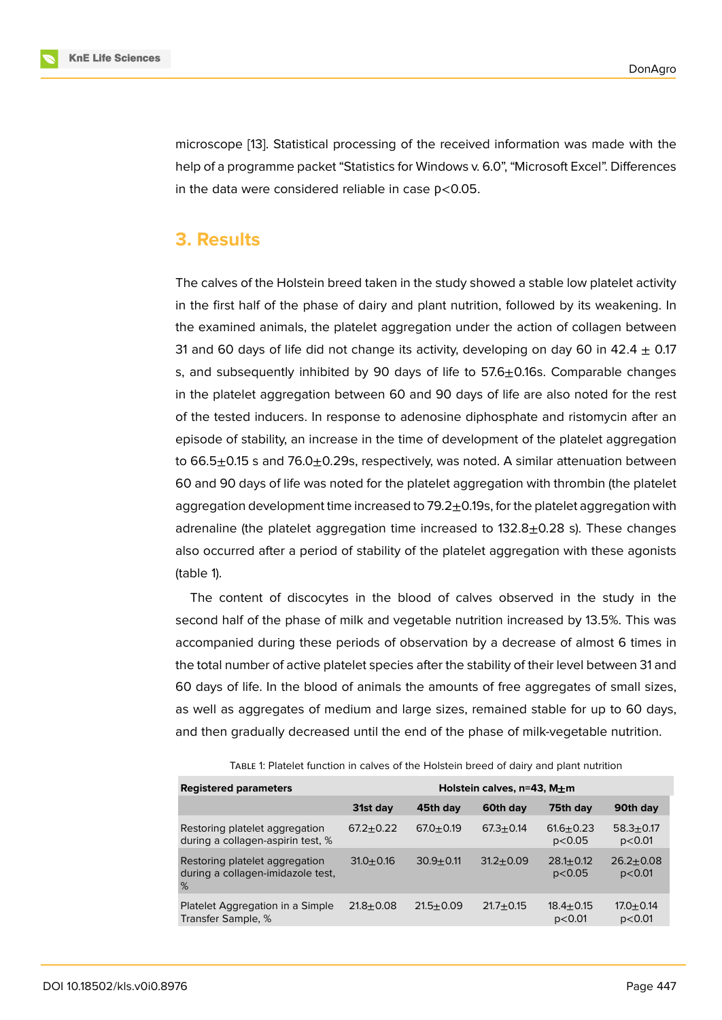microscope [13]. Statistical processing of the received information was made with the help of a programme packet "Statistics for Windows v. 6.0", "Microsoft Excel". Differences in the data were considered reliable in case  $p<0.05$ .

### **3. Results**

The calves of the Holstein breed taken in the study showed a stable low platelet activity in the first half of the phase of dairy and plant nutrition, followed by its weakening. In the examined animals, the platelet aggregation under the action of collagen between 31 and 60 days of life did not change its activity, developing on day 60 in 42.4  $\pm$  0.17 s, and subsequently inhibited by 90 days of life to  $57.6\pm0.16$ s. Comparable changes in the platelet aggregation between 60 and 90 days of life are also noted for the rest of the tested inducers. In response to adenosine diphosphate and ristomycin after an episode of stability, an increase in the time of development of the platelet aggregation to 66.5 $\pm$ 0.15 s and 76.0 $\pm$ 0.29s, respectively, was noted. A similar attenuation between 60 and 90 days of life was noted for the platelet aggregation with thrombin (the platelet aggregation development time increased to  $79.2<sub>±</sub>0.19$ s, for the platelet aggregation with adrenaline (the platelet aggregation time increased to  $132.8\pm0.28$  s). These changes also occurred after a period of stability of the platelet aggregation with these agonists (table 1).

The content of discocytes in the blood of calves observed in the study in the second half of the phase of milk and vegetable nutrition increased by 13.5%. This was accompanied during these periods of observation by a decrease of almost 6 times in the total number of active platelet species after the stability of their level between 31 and 60 days of life. In the blood of animals the amounts of free aggregates of small sizes, as well as aggregates of medium and large sizes, remained stable for up to 60 days, and then gradually decreased until the end of the phase of milk-vegetable nutrition.

| <b>Registered parameters</b>                                             | Holstein calves, $n=43$ , M $+m$ |               |               |                         |                           |  |  |
|--------------------------------------------------------------------------|----------------------------------|---------------|---------------|-------------------------|---------------------------|--|--|
|                                                                          | 31st day                         | 45th day      | 60th day      | 75th day                | 90th day                  |  |  |
| Restoring platelet aggregation<br>during a collagen-aspirin test, %      | $67.2 + 0.22$                    | $67.0 + 0.19$ | $67.3 + 0.14$ | $61.6 + 0.23$<br>p<0.05 | $58.3 \pm 0.17$<br>p<0.01 |  |  |
| Restoring platelet aggregation<br>during a collagen-imidazole test,<br>% | $31.0 + 0.16$                    | $30.9 + 0.11$ | $31.2 + 0.09$ | $28.1 + 0.12$<br>p<0.05 | $26.2 + 0.08$<br>p<0.01   |  |  |
| Platelet Aggregation in a Simple<br>Transfer Sample, %                   | $21.8 + 0.08$                    | $21.5 + 0.09$ | $21.7 + 0.15$ | $18.4 + 0.15$<br>p<0.01 | $17.0 + 0.14$<br>p<0.01   |  |  |

TABLE 1: Platelet function in calves of the Holstein breed of dairy and plant nutrition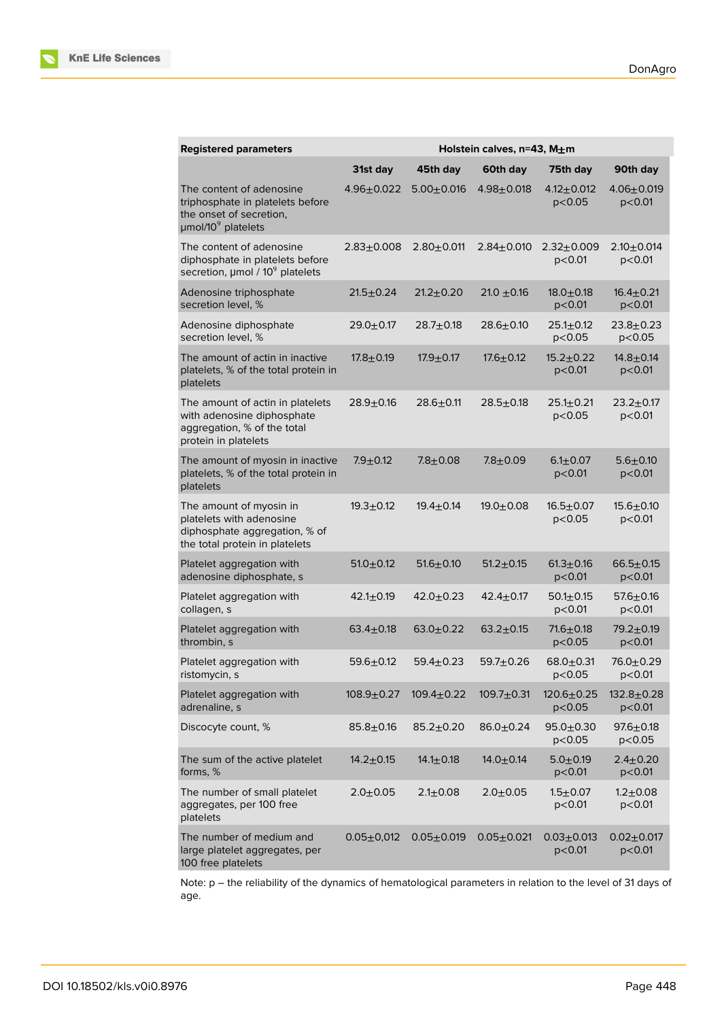| <b>Registered parameters</b>                                                                                                | Holstein calves, n=43, M±m |                 |                  |                               |                            |  |
|-----------------------------------------------------------------------------------------------------------------------------|----------------------------|-----------------|------------------|-------------------------------|----------------------------|--|
|                                                                                                                             | 31st day                   | 45th day        | 60th day         | 75th day                      | 90th day                   |  |
| The content of adenosine<br>triphosphate in platelets before<br>the onset of secretion,<br>$\mu$ mol/10 $\rm{^9}$ platelets | $4.96 \pm 0.022$           | $5.00 + 0.016$  | $4.98 + 0.018$   | $4.12 \pm 0.012$<br>p<0.05    | $4.06 + 0.019$<br>p<0.01   |  |
| The content of adenosine<br>diphosphate in platelets before<br>secretion, $\mu$ mol / 10 $^9$ platelets                     | $2.83 + 0.008$             | $2.80 + 0.011$  | $2.84 \pm 0.010$ | $2.32 \pm 0.009$<br>$p<$ 0.01 | $2.10 + 0.014$<br>p<0.01   |  |
| Adenosine triphosphate<br>secretion level, %                                                                                | $21.5 \pm 0.24$            | $21.2 + 0.20$   | $21.0 + 0.16$    | $18.0 + 0.18$<br>p<0.01       | 16.4±0.21<br>p<0.01        |  |
| Adenosine diphosphate<br>secretion level, %                                                                                 | $29.0 + 0.17$              | $28.7 + 0.18$   | $28.6 \pm 0.10$  | $25.1 \pm 0.12$<br>p<0.05     | $23.8 + 0.23$<br>p<0.05    |  |
| The amount of actin in inactive<br>platelets, % of the total protein in<br>platelets                                        | $17.8 + 0.19$              | $17.9 + 0.17$   | $17.6 \pm 0.12$  | $15.2 + 0.22$<br>$p<$ 0.01    | $14.8 + 0.14$<br>p<0.01    |  |
| The amount of actin in platelets<br>with adenosine diphosphate<br>aggregation, % of the total<br>protein in platelets       | $28.9 + 0.16$              | $28.6 + 0.11$   | $28.5 + 0.18$    | $25.1 + 0.21$<br>p<0.05       | $23.2 + 0.17$<br>p<0.01    |  |
| The amount of myosin in inactive<br>platelets, % of the total protein in<br>platelets                                       | $7.9 + 0.12$               | $7.8 + 0.08$    | $7.8 + 0.09$     | $6.1 \pm 0.07$<br>p<0.01      | $5.6 + 0.10$<br>p<0.01     |  |
| The amount of myosin in<br>platelets with adenosine<br>diphosphate aggregation, % of<br>the total protein in platelets      | $19.3 + 0.12$              | $19.4 \pm 0.14$ | $19.0 + 0.08$    | $16.5 \pm 0.07$<br>p<0.05     | $15.6 + 0.10$<br>p<0.01    |  |
| Platelet aggregation with<br>adenosine diphosphate, s                                                                       | $51.0 \pm 0.12$            | $51.6 \pm 0.10$ | $51.2 \pm 0.15$  | $61.3 \pm 0.16$<br>p<0.01     | $66.5 + 0.15$<br>p<0.01    |  |
| Platelet aggregation with<br>collagen, s                                                                                    | $42.1 \pm 0.19$            | $42.0 \pm 0.23$ | $42.4 \pm 0.17$  | $50.1 \pm 0.15$<br>p<0.01     | $57.6 \pm 0.16$<br>p<0.01  |  |
| Platelet aggregation with<br>thrombin, s                                                                                    | $63.4 \pm 0.18$            | $63.0 + 0.22$   | $63.2 + 0.15$    | $71.6 \pm 0.18$<br>p<0.05     | $79.2 \pm 0.19$<br>p<0.01  |  |
| Platelet aggregation with<br>ristomycin, s                                                                                  | $59.6 + 0.12$              | $59.4 \pm 0.23$ | $59.7 + 0.26$    | $68.0 + 0.31$<br>p<0.05       | $76.0 + 0.29$<br>p<0.01    |  |
| Platelet aggregation with<br>adrenaline, s                                                                                  | $108.9 + 0.27$             | $109.4 + 0.22$  | $109.7 + 0.31$   | $120.6 + 0.25$<br>p<0.05      | $132.8 + 0.28$<br>p<0.01   |  |
| Discocyte count, %                                                                                                          | $85.8 + 0.16$              | $85.2 \pm 0.20$ | $86.0 \pm 0.24$  | $95.0 + 0.30$<br>p<0.05       | $97.6 \pm 0.18$<br>p<0.05  |  |
| The sum of the active platelet<br>forms, %                                                                                  | $14.2 \pm 0.15$            | $14.1 \pm 0.18$ | $14.0 \pm 0.14$  | $5.0 + 0.19$<br>p<0.01        | $2.4 \pm 0.20$<br>p<0.01   |  |
| The number of small platelet<br>aggregates, per 100 free<br>platelets                                                       | $2.0 + 0.05$               | $2.1 \pm 0.08$  | $2.0 + 0.05$     | $1.5 + 0.07$<br>p<0.01        | $1.2 + 0.08$<br>p<0.01     |  |
| The number of medium and<br>large platelet aggregates, per<br>100 free platelets                                            | $0.05 \pm 0.012$           | $0.05 + 0.019$  | $0.05 + 0.021$   | $0.03 + 0.013$<br>p<0.01      | $0.02 \pm 0.017$<br>p<0.01 |  |

Note: p – the reliability of the dynamics of hematological parameters in relation to the level of 31 days of age.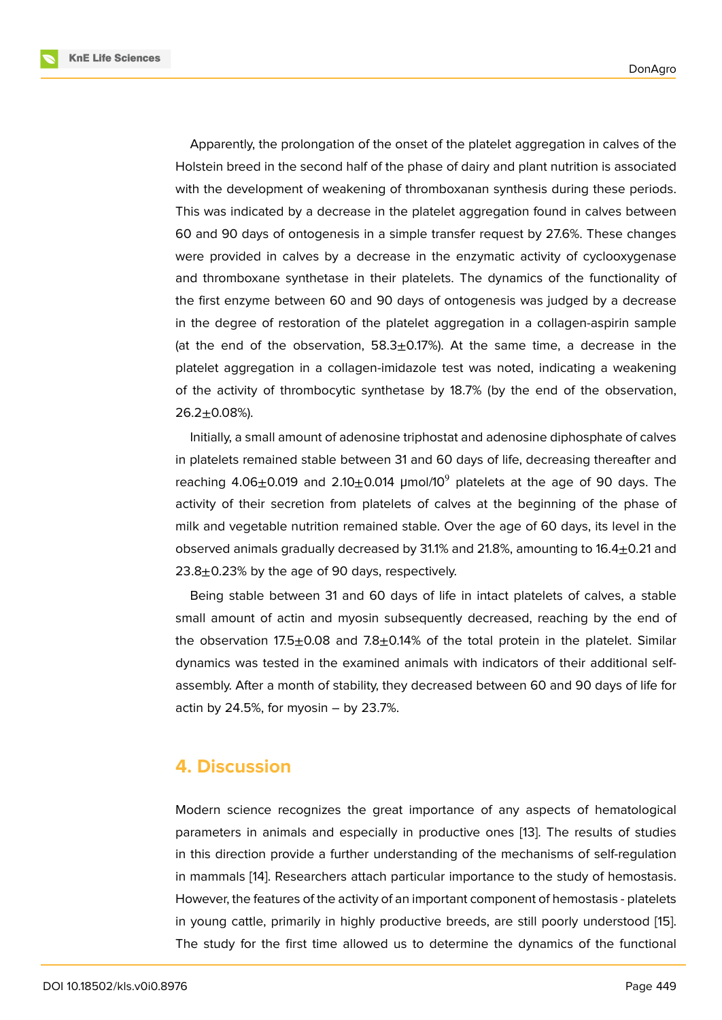Apparently, the prolongation of the onset of the platelet aggregation in calves of the Holstein breed in the second half of the phase of dairy and plant nutrition is associated with the development of weakening of thromboxanan synthesis during these periods. This was indicated by a decrease in the platelet aggregation found in calves between 60 and 90 days of ontogenesis in a simple transfer request by 27.6%. These changes were provided in calves by a decrease in the enzymatic activity of cyclooxygenase and thromboxane synthetase in their platelets. The dynamics of the functionality of the first enzyme between 60 and 90 days of ontogenesis was judged by a decrease in the degree of restoration of the platelet aggregation in a collagen-aspirin sample (at the end of the observation,  $58.3 \pm 0.17\%$ ). At the same time, a decrease in the platelet aggregation in a collagen-imidazole test was noted, indicating a weakening of the activity of thrombocytic synthetase by 18.7% (by the end of the observation,  $26.2 \pm 0.08%$ ).

Initially, a small amount of adenosine triphostat and adenosine diphosphate of calves in platelets remained stable between 31 and 60 days of life, decreasing thereafter and reaching 4.06 $\pm$ 0.019 and 2.10 $\pm$ 0.014 µmol/10<sup>9</sup> platelets at the age of 90 days. The activity of their secretion from platelets of calves at the beginning of the phase of milk and vegetable nutrition remained stable. Over the age of 60 days, its level in the observed animals gradually decreased by 31.1% and 21.8%, amounting to  $16.4 \pm 0.21$  and 23.8 $\pm$ 0.23% by the age of 90 days, respectively.

Being stable between 31 and 60 days of life in intact platelets of calves, a stable small amount of actin and myosin subsequently decreased, reaching by the end of the observation  $17.5\pm0.08$  and  $7.8\pm0.14\%$  of the total protein in the platelet. Similar dynamics was tested in the examined animals with indicators of their additional selfassembly. After a month of stability, they decreased between 60 and 90 days of life for actin by  $24.5\%$ , for myosin  $-$  by  $23.7\%$ .

#### **4. Discussion**

Modern science recognizes the great importance of any aspects of hematological parameters in animals and especially in productive ones [13]. The results of studies in this direction provide a further understanding of the mechanisms of self-regulation in mammals [14]. Researchers attach particular importance to the study of hemostasis. However, the features of the activity of an important compon[ent](#page-8-7) of hemostasis - platelets in young cattle, primarily in highly productive breeds, are still poorly understood [15]. The study fo[r t](#page-9-0)he first time allowed us to determine the dynamics of the functional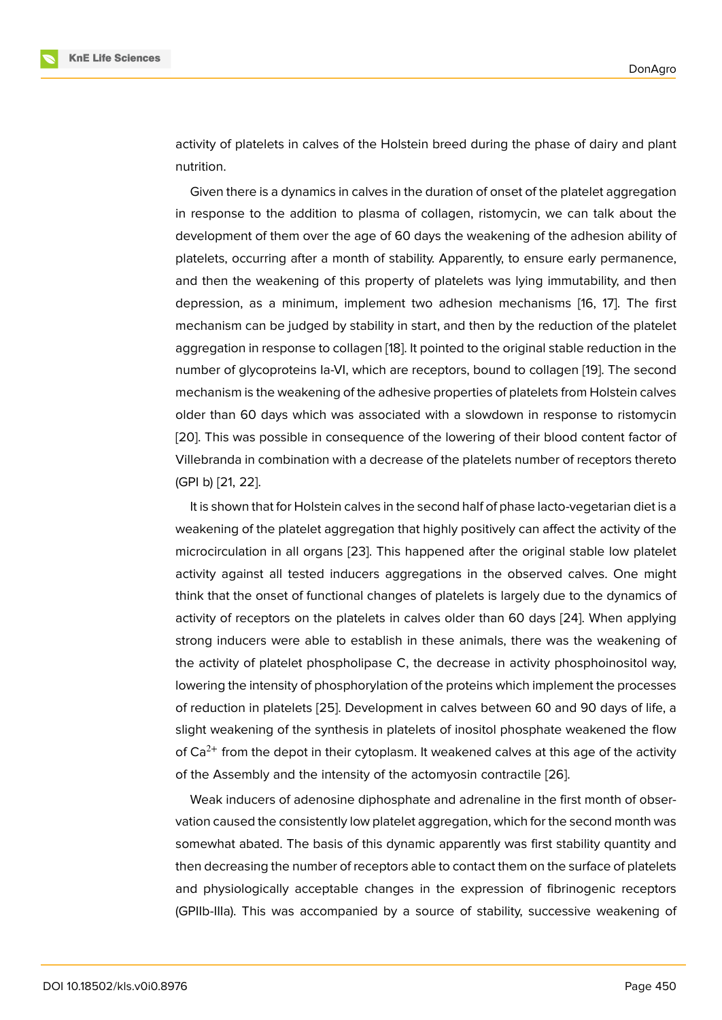activity of platelets in calves of the Holstein breed during the phase of dairy and plant nutrition.

Given there is a dynamics in calves in the duration of onset of the platelet aggregation in response to the addition to plasma of collagen, ristomycin, we can talk about the development of them over the age of 60 days the weakening of the adhesion ability of platelets, occurring after a month of stability. Apparently, to ensure early permanence, and then the weakening of this property of platelets was lying immutability, and then depression, as a minimum, implement two adhesion mechanisms [16, 17]. The first mechanism can be judged by stability in start, and then by the reduction of the platelet aggregation in response to collagen [18]. It pointed to the original stable reduction in the number of glycoproteins Ia-VI, which are receptors, bound to collagen [\[19](#page-9-2)][. T](#page-9-3)he second mechanism is the weakening of the adhesive properties of platelets from Holstein calves older than 60 days which was asso[cia](#page-9-4)ted with a slowdown in response to ristomycin [20]. This was possible in consequence of the lowering of their blood [con](#page-9-5)tent factor of Villebranda in combination with a decrease of the platelets number of receptors thereto (GPI b) [21, 22].

[It](#page-9-6) is shown that for Holstein calves in the second half of phase lacto-vegetarian diet is a weakening of the platelet aggregation that highly positively can affect the activity of the microci[rcu](#page-9-7)l[atio](#page-9-8)n in all organs [23]. This happened after the original stable low platelet activity against all tested inducers aggregations in the observed calves. One might think that the onset of functional changes of platelets is largely due to the dynamics of activity of receptors on the pl[atel](#page-9-9)ets in calves older than 60 days [24]. When applying strong inducers were able to establish in these animals, there was the weakening of the activity of platelet phospholipase C, the decrease in activity phosphoinositol way, lowering the intensity of phosphorylation of the proteins which impl[eme](#page-9-10)nt the processes of reduction in platelets [25]. Development in calves between 60 and 90 days of life, a slight weakening of the synthesis in platelets of inositol phosphate weakened the flow of  $Ca^{2+}$  from the depot in their cytoplasm. It weakened calves at this age of the activity of the Assembly and the [int](#page-9-11)ensity of the actomyosin contractile [26].

Weak inducers of adenosine diphosphate and adrenaline in the first month of observation caused the consistently low platelet aggregation, which for the second month was somewhat abated. The basis of this dynamic apparently was firs[t st](#page-10-0)ability quantity and then decreasing the number of receptors able to contact them on the surface of platelets and physiologically acceptable changes in the expression of fibrinogenic receptors (GPIIb-IIIa). This was accompanied by a source of stability, successive weakening of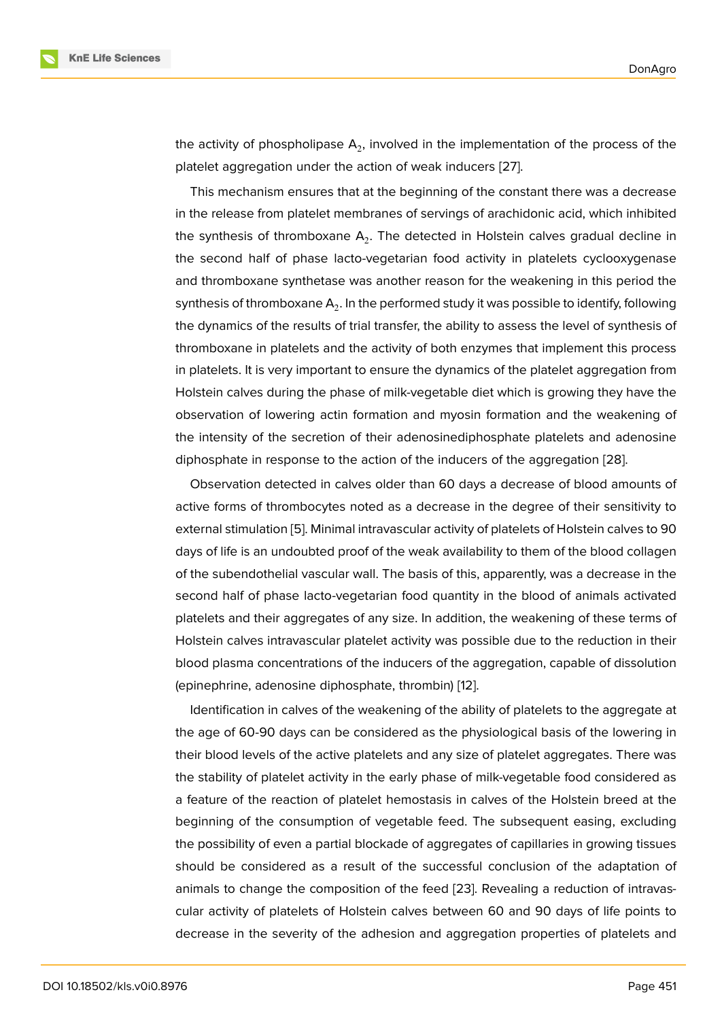the activity of phospholipase  ${\sf A}_2$ , involved in the implementation of the process of the platelet aggregation under the action of weak inducers [27].

This mechanism ensures that at the beginning of the constant there was a decrease in the release from platelet membranes of servings of arachidonic acid, which inhibited the synthesis of thromboxane  ${\sf A}_2.$  The detected in Hols[tein](#page-10-1) calves gradual decline in the second half of phase lacto-vegetarian food activity in platelets cyclooxygenase and thromboxane synthetase was another reason for the weakening in this period the synthesis of thromboxane  $\mathsf{A}_2.$  In the performed study it was possible to identify, following the dynamics of the results of trial transfer, the ability to assess the level of synthesis of thromboxane in platelets and the activity of both enzymes that implement this process in platelets. It is very important to ensure the dynamics of the platelet aggregation from Holstein calves during the phase of milk-vegetable diet which is growing they have the observation of lowering actin formation and myosin formation and the weakening of the intensity of the secretion of their adenosinediphosphate platelets and adenosine diphosphate in response to the action of the inducers of the aggregation [28].

Observation detected in calves older than 60 days a decrease of blood amounts of active forms of thrombocytes noted as a decrease in the degree of their sensitivity to external stimulation [5]. Minimal intravascular activity of platelets of Holstein [cal](#page-10-2)ves to 90 days of life is an undoubted proof of the weak availability to them of the blood collagen of the subendothelial vascular wall. The basis of this, apparently, was a decrease in the second half of phas[e](#page-8-1) lacto-vegetarian food quantity in the blood of animals activated platelets and their aggregates of any size. In addition, the weakening of these terms of Holstein calves intravascular platelet activity was possible due to the reduction in their blood plasma concentrations of the inducers of the aggregation, capable of dissolution (epinephrine, adenosine diphosphate, thrombin) [12].

Identification in calves of the weakening of the ability of platelets to the aggregate at the age of 60-90 days can be considered as the physiological basis of the lowering in their blood levels of the active platelets and any [size](#page-8-8) of platelet aggregates. There was the stability of platelet activity in the early phase of milk-vegetable food considered as a feature of the reaction of platelet hemostasis in calves of the Holstein breed at the beginning of the consumption of vegetable feed. The subsequent easing, excluding the possibility of even a partial blockade of aggregates of capillaries in growing tissues should be considered as a result of the successful conclusion of the adaptation of animals to change the composition of the feed [23]. Revealing a reduction of intravascular activity of platelets of Holstein calves between 60 and 90 days of life points to decrease in the severity of the adhesion and aggregation properties of platelets and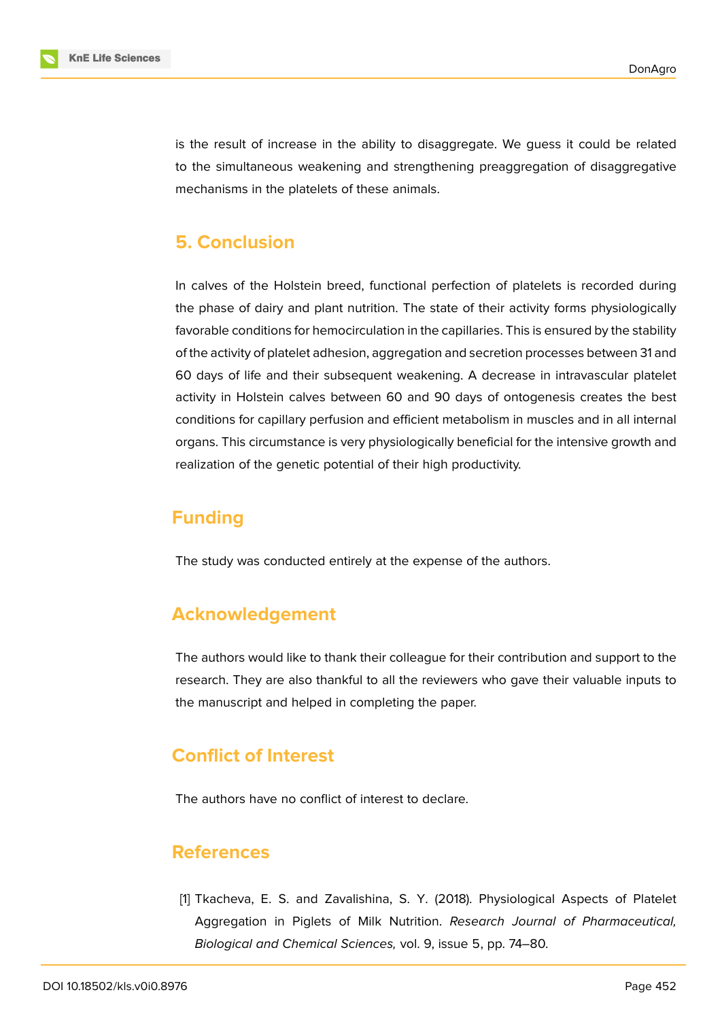

is the result of increase in the ability to disaggregate. We guess it could be related to the simultaneous weakening and strengthening preaggregation of disaggregative mechanisms in the platelets of these animals.

### **5. Conclusion**

In calves of the Holstein breed, functional perfection of platelets is recorded during the phase of dairy and plant nutrition. The state of their activity forms physiologically favorable conditions for hemocirculation in the capillaries. This is ensured by the stability of the activity of platelet adhesion, aggregation and secretion processes between 31 and 60 days of life and their subsequent weakening. A decrease in intravascular platelet activity in Holstein calves between 60 and 90 days of ontogenesis creates the best conditions for capillary perfusion and efficient metabolism in muscles and in all internal organs. This circumstance is very physiologically beneficial for the intensive growth and realization of the genetic potential of their high productivity.

### **Funding**

The study was conducted entirely at the expense of the authors.

# **Acknowledgement**

The authors would like to thank their colleague for their contribution and support to the research. They are also thankful to all the reviewers who gave their valuable inputs to the manuscript and helped in completing the paper.

# **Conflict of Interest**

The authors have no conflict of interest to declare.

### **References**

<span id="page-7-0"></span>[1] Tkacheva, E. S. and Zavalishina, S. Y. (2018). Physiological Aspects of Platelet Aggregation in Piglets of Milk Nutrition. *Research Journal of Pharmaceutical, Biological and Chemical Sciences,* vol. 9, issue 5, pp. 74–80.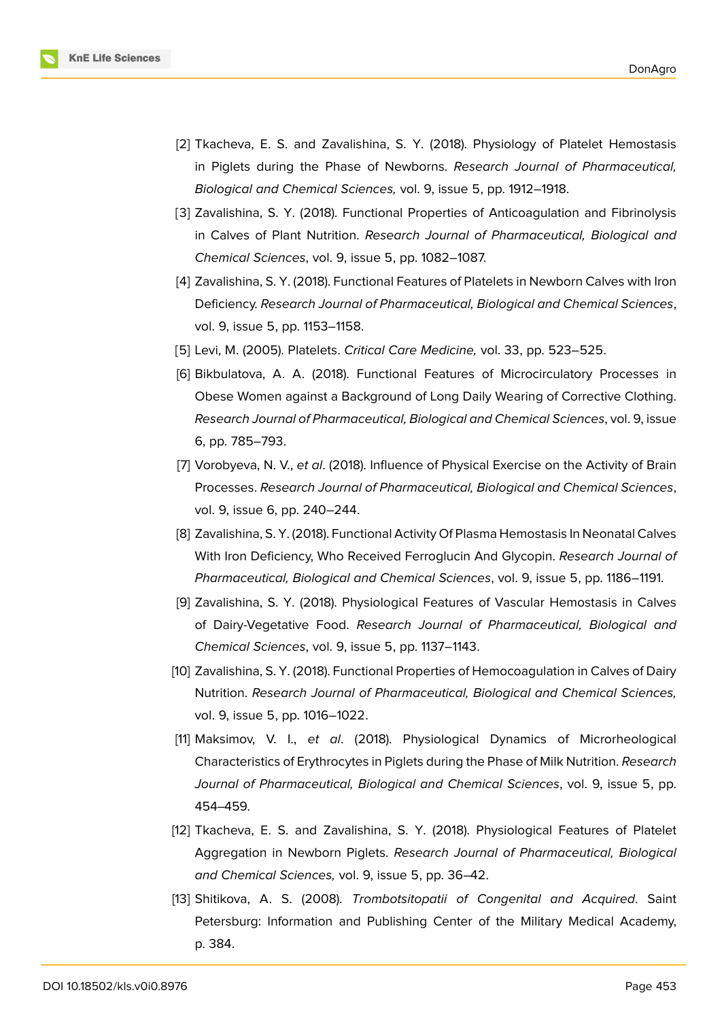

- [2] Tkacheva, E. S. and Zavalishina, S. Y. (2018). Physiology of Platelet Hemostasis in Piglets during the Phase of Newborns. *Research Journal of Pharmaceutical, Biological and Chemical Sciences,* vol. 9, issue 5, pp. 1912–1918.
- [3] Zavalishina, S. Y. (2018). Functional Properties of Anticoagulation and Fibrinolysis in Calves of Plant Nutrition. *Research Journal of Pharmaceutical, Biological and Chemical Sciences*, vol. 9, issue 5, pp. 1082–1087.
- <span id="page-8-0"></span>[4] Zavalishina, S. Y. (2018). Functional Features of Platelets in Newborn Calves with Iron Deficiency. *Research Journal of Pharmaceutical, Biological and Chemical Sciences*, vol. 9, issue 5, pp. 1153–1158.
- <span id="page-8-1"></span>[5] Levi, M. (2005). Platelets. *Critical Care Medicine,* vol. 33, pp. 523–525.
- <span id="page-8-2"></span>[6] Bikbulatova, A. A. (2018). Functional Features of Microcirculatory Processes in Obese Women against a Background of Long Daily Wearing of Corrective Clothing. *Research Journal of Pharmaceutical, Biological and Chemical Sciences*, vol. 9, issue 6, pp. 785–793.
- <span id="page-8-3"></span>[7] Vorobyeva, N. V., *et al*. (2018). Influence of Physical Exercise on the Activity of Brain Processes. *Research Journal of Pharmaceutical, Biological and Chemical Sciences*, vol. 9, issue 6, pp. 240–244.
- <span id="page-8-4"></span>[8] Zavalishina, S. Y. (2018). Functional Activity Of Plasma Hemostasis In Neonatal Calves With Iron Deficiency, Who Received Ferroglucin And Glycopin. *Research Journal of Pharmaceutical, Biological and Chemical Sciences*, vol. 9, issue 5, pp. 1186–1191.
- <span id="page-8-5"></span>[9] Zavalishina, S. Y. (2018). Physiological Features of Vascular Hemostasis in Calves of Dairy-Vegetative Food. *Research Journal of Pharmaceutical, Biological and Chemical Sciences*, vol. 9, issue 5, pp. 1137–1143.
- <span id="page-8-6"></span>[10] Zavalishina, S. Y. (2018). Functional Properties of Hemocoagulation in Calves of Dairy Nutrition. *Research Journal of Pharmaceutical, Biological and Chemical Sciences,* vol. 9, issue 5, pp. 1016–1022.
- [11] Maksimov, V. I., *et al*. (2018). Physiological Dynamics of Microrheological Characteristics of Erythrocytes in Piglets during the Phase of Milk Nutrition. *Research Journal of Pharmaceutical, Biological and Chemical Sciences*, vol. 9, issue 5, pp. 454–459.
- <span id="page-8-8"></span>[12] Tkacheva, E. S. and Zavalishina, S. Y. (2018). Physiological Features of Platelet Aggregation in Newborn Piglets. *Research Journal of Pharmaceutical, Biological and Chemical Sciences,* vol. 9, issue 5, pp. 36–42.
- <span id="page-8-7"></span>[13] Shitikova, A. S. (2008). *Trombotsitopatii of Congenital and Acquired*. Saint Petersburg: Information and Publishing Center of the Military Medical Academy, p. 384.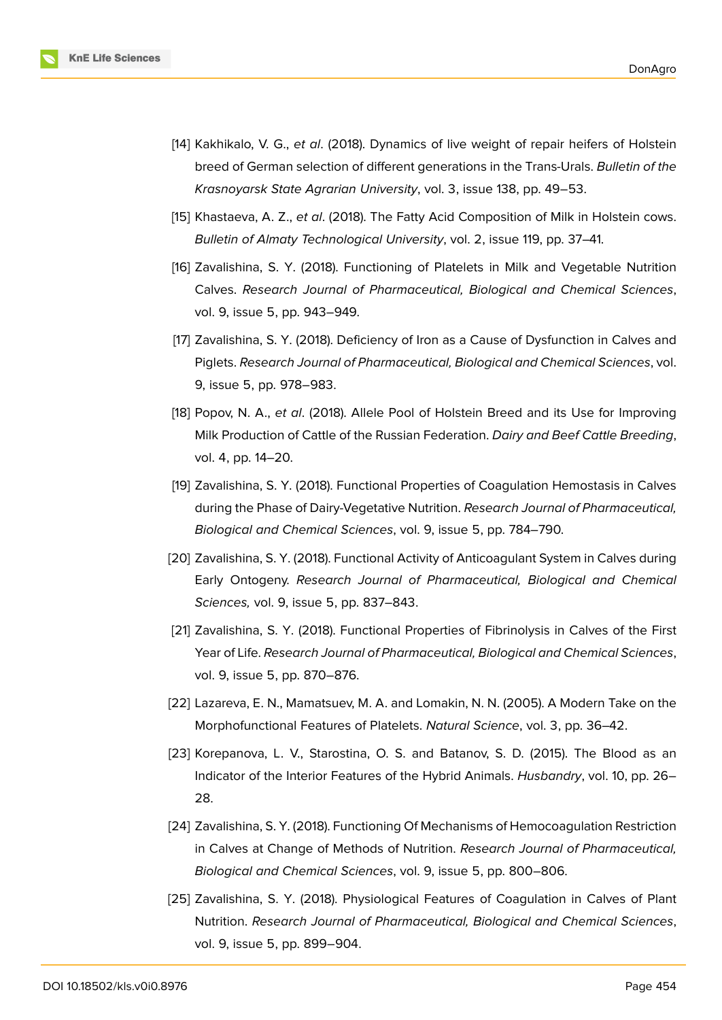

- <span id="page-9-0"></span>[14] Kakhikalo, V. G., *et al*. (2018). Dynamics of live weight of repair heifers of Holstein breed of German selection of different generations in the Trans-Urals. *Bulletin of the Krasnoyarsk State Agrarian University*, vol. 3, issue 138, pp. 49–53.
- <span id="page-9-1"></span>[15] Khastaeva, A. Z., *et al*. (2018). The Fatty Acid Composition of Milk in Holstein cows. *Bulletin of Almaty Technological University*, vol. 2, issue 119, pp. 37–41.
- <span id="page-9-2"></span>[16] Zavalishina, S. Y. (2018). Functioning of Platelets in Milk and Vegetable Nutrition Calves. *Research Journal of Pharmaceutical, Biological and Chemical Sciences*, vol. 9, issue 5, pp. 943–949.
- <span id="page-9-3"></span>[17] Zavalishina, S. Y. (2018). Deficiency of Iron as a Cause of Dysfunction in Calves and Piglets. *Research Journal of Pharmaceutical, Biological and Chemical Sciences*, vol. 9, issue 5, pp. 978–983.
- <span id="page-9-4"></span>[18] Popov, N. A., *et al*. (2018). Allele Pool of Holstein Breed and its Use for Improving Milk Production of Cattle of the Russian Federation. *Dairy and Beef Cattle Breeding*, vol. 4, pp. 14–20.
- <span id="page-9-5"></span>[19] Zavalishina, S. Y. (2018). Functional Properties of Coagulation Hemostasis in Calves during the Phase of Dairy-Vegetative Nutrition. *Research Journal of Pharmaceutical, Biological and Chemical Sciences*, vol. 9, issue 5, pp. 784–790.
- <span id="page-9-6"></span>[20] Zavalishina, S. Y. (2018). Functional Activity of Anticoagulant System in Calves during Early Ontogeny. *Research Journal of Pharmaceutical, Biological and Chemical Sciences,* vol. 9, issue 5, pp. 837–843.
- <span id="page-9-7"></span>[21] Zavalishina, S. Y. (2018). Functional Properties of Fibrinolysis in Calves of the First Year of Life. *Research Journal of Pharmaceutical, Biological and Chemical Sciences*, vol. 9, issue 5, pp. 870–876.
- <span id="page-9-8"></span>[22] Lazareva, E. N., Mamatsuev, M. A. and Lomakin, N. N. (2005). A Modern Take on the Morphofunctional Features of Platelets. *Natural Science*, vol. 3, pp. 36–42.
- <span id="page-9-9"></span>[23] Korepanova, L. V., Starostina, O. S. and Batanov, S. D. (2015). The Blood as an Indicator of the Interior Features of the Hybrid Animals. *Husbandry*, vol. 10, pp. 26– 28.
- <span id="page-9-10"></span>[24] Zavalishina, S. Y. (2018). Functioning Of Mechanisms of Hemocoagulation Restriction in Calves at Change of Methods of Nutrition. *Research Journal of Pharmaceutical, Biological and Chemical Sciences*, vol. 9, issue 5, pp. 800–806.
- <span id="page-9-11"></span>[25] Zavalishina, S. Y. (2018). Physiological Features of Coagulation in Calves of Plant Nutrition. *Research Journal of Pharmaceutical, Biological and Chemical Sciences*, vol. 9, issue 5, pp. 899–904.